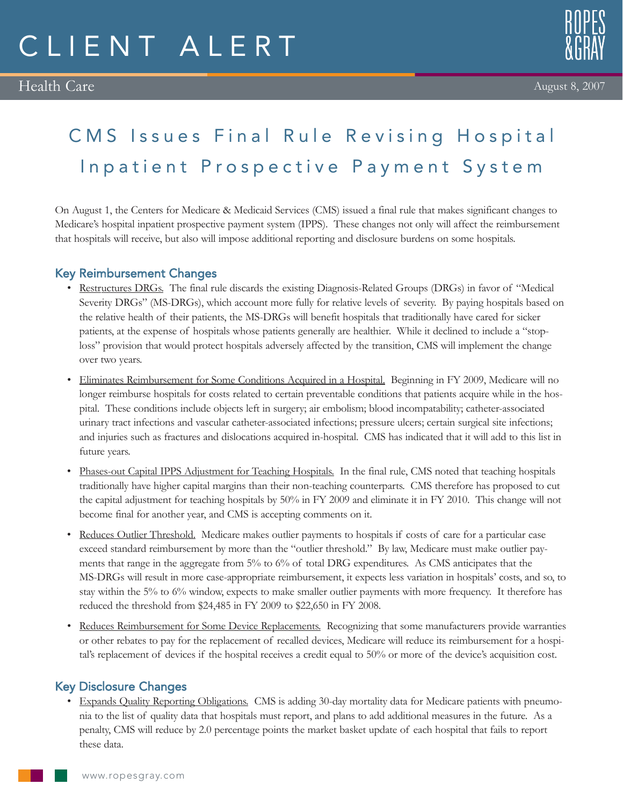# CLIENT ALERT

#### August 8, 2007

## CMS Issues Final Rule Revising Hospital Inpatient Prospective Payment System

On August 1, the Centers for Medicare & Medicaid Services (CMS) issued a final rule that makes significant changes to Medicare's hospital inpatient prospective payment system (IPPS). These changes not only will affect the reimbursement that hospitals will receive, but also will impose additional reporting and disclosure burdens on some hospitals.

### Key Reimbursement Changes

- Restructures DRGs. The final rule discards the existing Diagnosis-Related Groups (DRGs) in favor of "Medical Severity DRGs" (MS-DRGs), which account more fully for relative levels of severity. By paying hospitals based on the relative health of their patients, the MS-DRGs will benefit hospitals that traditionally have cared for sicker patients, at the expense of hospitals whose patients generally are healthier. While it declined to include a "stoploss" provision that would protect hospitals adversely affected by the transition, CMS will implement the change over two years.
- Eliminates Reimbursement for Some Conditions Acquired in a Hospital. Beginning in FY 2009, Medicare will no longer reimburse hospitals for costs related to certain preventable conditions that patients acquire while in the hospital. These conditions include objects left in surgery; air embolism; blood incompatability; catheter-associated urinary tract infections and vascular catheter-associated infections; pressure ulcers; certain surgical site infections; and injuries such as fractures and dislocations acquired in-hospital. CMS has indicated that it will add to this list in future years.
- Phases-out Capital IPPS Adjustment for Teaching Hospitals. In the final rule, CMS noted that teaching hospitals traditionally have higher capital margins than their non-teaching counterparts. CMS therefore has proposed to cut the capital adjustment for teaching hospitals by 50% in FY 2009 and eliminate it in FY 2010. This change will not become final for another year, and CMS is accepting comments on it.
- Reduces Outlier Threshold. Medicare makes outlier payments to hospitals if costs of care for a particular case exceed standard reimbursement by more than the "outlier threshold." By law, Medicare must make outlier payments that range in the aggregate from 5% to 6% of total DRG expenditures. As CMS anticipates that the MS-DRGs will result in more case-appropriate reimbursement, it expects less variation in hospitals' costs, and so, to stay within the 5% to 6% window, expects to make smaller outlier payments with more frequency. It therefore has reduced the threshold from \$24,485 in FY 2009 to \$22,650 in FY 2008.
- Reduces Reimbursement for Some Device Replacements. Recognizing that some manufacturers provide warranties or other rebates to pay for the replacement of recalled devices, Medicare will reduce its reimbursement for a hospital's replacement of devices if the hospital receives a credit equal to 50% or more of the device's acquisition cost.

### Key Disclosure Changes

• Expands Quality Reporting Obligations. CMS is adding 30-day mortality data for Medicare patients with pneumonia to the list of quality data that hospitals must report, and plans to add additional measures in the future. As a penalty, CMS will reduce by 2.0 percentage points the market basket update of each hospital that fails to report these data.